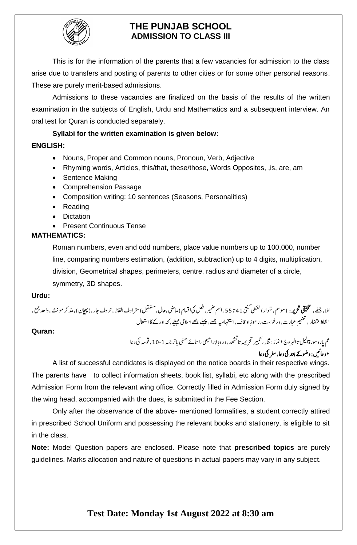

# **THE PUNJAB SCHOOL ADMISSION TO CLASS III**

This is for the information of the parents that a few vacancies for admission to the class arise due to transfers and posting of parents to other cities or for some other personal reasons. These are purely merit-based admissions.

Admissions to these vacancies are finalized on the basis of the results of the written examination in the subjects of English, Urdu and Mathematics and a subsequent interview. An oral test for Quran is conducted separately.

## **Syllabi for the written examination is given below:**

## **ENGLISH:**

- Nouns, Proper and Common nouns, Pronoun, Verb, Adjective
- Rhyming words, Articles, this/that, these/those, Words Opposites, ,is, are, am
- Sentence Making
- Comprehension Passage
- Composition writing: 10 sentences (Seasons, Personalities)
- Reading
- Dictation
- Present Continuous Tense

## **MATHEMATICS:**

Roman numbers, even and odd numbers, place value numbers up to 100,000, number line, comparing numbers estimation, (addition, subtraction) up to 4 digits, multiplication, division, Geometrical shapes, perimeters, centre, radius and diameter of a circle, symmetry, 3D shapes.

### **Urdu:**

ا يقيلخت رحتري : )وممس ، وار(يظفليتنگ مال،ےلمج، ه ت 41 ا ت 55 ،امسريمض،لعفيکااسقم)اميض،احل،لبقتسم(رتمادفاافلظ، رحو فاجر ، )اچهپن(، ،وادحعمج، ث ذمرکومن اضتمد اافلظ ،یہفتم ماواقف،ااهفتسهيمےلمج،ےلهپےھچاساليمےنيهم ،رومر ،دروخاست ابعرت ،هک ا و ر ےک اک ا امعتسل

## **Quran:**

عم پاره سورةاليل تاالبر ور<sup>ج</sup>  $\overline{a}$ رةاليل تاالبر وج \* نماز : ثناء ، تكبير تحريمه تاكستھد ، درودِ ابراھيمى ، اسائے حسنىٰ  $\overline{a}$ ֦֧ ن ش  $\overline{\phantom{a}}$ ت ا .<br>تئبیر تحریمه تاتش*هد*، درودِ ابراهیمی،اسائے حس<sub>ن</sub>ی باتر جمه 1-10، قومه کی د عا \* د اعںيئ: و وض ےک دعب يک د اع ، رفس يک د اع

A list of successful candidates is displayed on the notice boards in their respective wings. The parents have to collect information sheets, book list, syllabi, etc along with the prescribed Admission Form from the relevant wing office. Correctly filled in Admission Form duly signed by the wing head, accompanied with the dues, is submitted in the Fee Section.

Only after the observance of the above- mentioned formalities, a student correctly attired in prescribed School Uniform and possessing the relevant books and stationery, is eligible to sit in the class.

**Note:** Model Question papers are enclosed. Please note that **prescribed topics** are purely guidelines. Marks allocation and nature of questions in actual papers may vary in any subject.

# **Test Date: Monday 1st August 2022 at 8:30 am**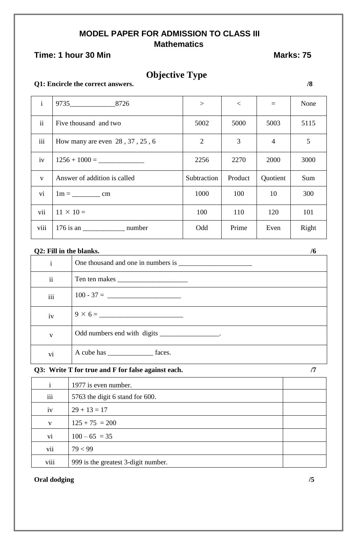# **MODEL PAPER FOR ADMISSION TO CLASS III Mathematics**

# **Time: 1 hour 30 Min** Marks: 75

# **Objective Type**

#### **Q1: Encircle the correct answers. /8**

| $\mathbf{i}$    | 9735 8726                       | >              | $\lt$   | $=$            | None  |
|-----------------|---------------------------------|----------------|---------|----------------|-------|
| $\mathbf{ii}$   | Five thousand and two           | 5002           | 5000    | 5003           | 5115  |
| iii             | How many are even 28, 37, 25, 6 | $\overline{2}$ | 3       | $\overline{4}$ | 5     |
| iv              |                                 | 2256           | 2270    | 2000           | 3000  |
| $\mathbf{V}$    | Answer of addition is called    | Subtraction    | Product | Quotient       | Sum   |
| $\overline{vi}$ |                                 | 1000           | 100     | 10             | 300   |
| vii             | $11 \times 10 =$                | 100            | 110     | 120            | 101   |
| viii            | 176 is an number                | Odd            | Prime   | Even           | Right |

# **Q2:** Fill in the blanks. /6

| 1            |                                                 |
|--------------|-------------------------------------------------|
| ii           |                                                 |
| iii          | $100 - 37 =$                                    |
| iv           |                                                 |
| $\mathbf{V}$ | Odd numbers end with digits __________________. |
| vi           |                                                 |

## **Q3: Write T for true and F for false against each. /7**

| $\mathbf{i}$ | 1977 is even number.                |  |
|--------------|-------------------------------------|--|
| iii          | 5763 the digit 6 stand for 600.     |  |
| iv           | $29 + 13 = 17$                      |  |
| $\mathbf{V}$ | $125 + 75 = 200$                    |  |
| vi           | $100 - 65 = 35$                     |  |
| vii          | 79 < 99                             |  |
| viii         | 999 is the greatest 3-digit number. |  |

#### **Oral dodging /5**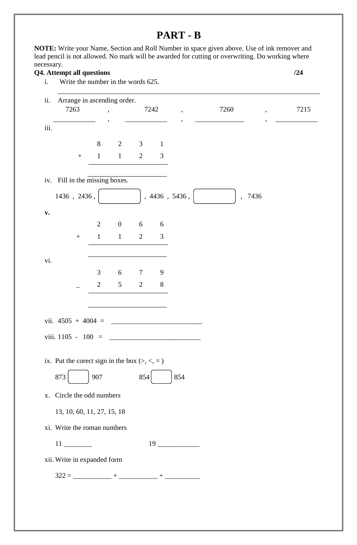# **PART - B**

**NOTE:** Write your Name, Section and Roll Number in space given above. Use of ink remover and lead pencil is not allowed. No mark will be awarded for cutting or overwriting. Do working where necessary.

## **Q4. Attempt all questions /24**

| i.             | Write the number in the words 625.             |                |                          |                |                |                               |        |                    |
|----------------|------------------------------------------------|----------------|--------------------------|----------------|----------------|-------------------------------|--------|--------------------|
| ii.            | Arrange in ascending order.                    |                |                          |                |                |                               |        |                    |
|                | 7263                                           |                | $\overline{\phantom{a}}$ |                | 7242           | $\pmb{\mathfrak{y}}$          | 7260   | 7215<br>$^\bullet$ |
|                |                                                |                |                          |                |                |                               |        |                    |
| iii.           |                                                |                |                          |                |                |                               |        |                    |
|                |                                                | 8              | $\overline{2}$           | $\mathfrak{Z}$ | $\mathbf{1}$   |                               |        |                    |
|                | $\boldsymbol{+}$                               | $\mathbf{1}$   | $\mathbf{1}$             | $\overline{2}$ | $\mathfrak{Z}$ |                               |        |                    |
|                | iv. Fill in the missing boxes.                 |                |                          |                |                |                               |        |                    |
|                | $1436$ , $2436$ ,                              |                |                          |                |                | , 4436, 5436,                 | , 7436 |                    |
| $\mathbf{v}$ . |                                                |                |                          |                |                |                               |        |                    |
|                |                                                | $\overline{2}$ | $\boldsymbol{0}$         | $6\,$          | 6              |                               |        |                    |
|                | $\boldsymbol{+}$                               | $\mathbf{1}$   | $\mathbf{1}$             | $\overline{2}$ | 3              |                               |        |                    |
|                |                                                |                |                          |                |                |                               |        |                    |
| vi.            |                                                |                |                          |                |                |                               |        |                    |
|                |                                                | 3              | $6\,$                    | $\overline{7}$ | 9              |                               |        |                    |
|                |                                                | $\mathbf{2}$   | $\mathfrak s$            | $\mathbf{2}$   | $8\,$          |                               |        |                    |
|                |                                                |                |                          |                |                |                               |        |                    |
|                | vii. $4505 + 4004 =$                           |                |                          |                |                |                               |        |                    |
|                | viii. 1105 - 100                               |                |                          |                |                |                               |        |                    |
|                |                                                |                |                          |                |                |                               |        |                    |
|                | ix. Put the corect sign in the box $(>, <, =)$ |                |                          |                |                |                               |        |                    |
| 873            |                                                | 907            |                          | 854            |                | 854                           |        |                    |
| X.             | Circle the odd numbers                         |                |                          |                |                |                               |        |                    |
|                | 13, 10, 60, 11, 27, 15, 18                     |                |                          |                |                |                               |        |                    |
|                | xi. Write the roman numbers                    |                |                          |                |                |                               |        |                    |
|                |                                                |                |                          |                |                |                               |        |                    |
|                | $11$ <sub>____________</sub>                   |                |                          |                |                | $19 \underline{\hspace{1cm}}$ |        |                    |
|                | xii. Write in expanded form                    |                |                          |                |                |                               |        |                    |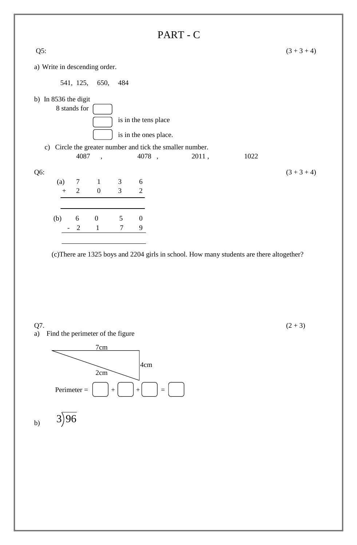

(c)There are 1325 boys and 2204 girls in school. How many students are there altogether?

a) Find the perimeter of the figure



 $Q7.$  (2+3)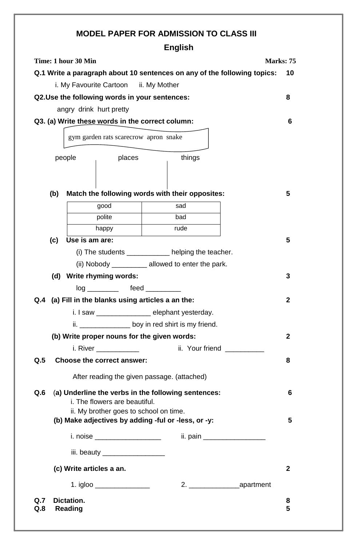# **MODEL PAPER FOR ADMISSION TO CLASS III**

# **English**

|            |                                                                                                                                | Time: 1 hour 30 Min                           |                                  |                                                                          | Marks: 75        |  |  |
|------------|--------------------------------------------------------------------------------------------------------------------------------|-----------------------------------------------|----------------------------------|--------------------------------------------------------------------------|------------------|--|--|
|            |                                                                                                                                |                                               |                                  | Q.1 Write a paragraph about 10 sentences on any of the following topics: | 10               |  |  |
|            |                                                                                                                                | i. My Favourite Cartoon ii. My Mother         |                                  |                                                                          |                  |  |  |
|            |                                                                                                                                | Q2.Use the following words in your sentences: |                                  |                                                                          | 8                |  |  |
|            |                                                                                                                                | angry drink hurt pretty                       |                                  |                                                                          |                  |  |  |
|            |                                                                                                                                |                                               |                                  | Q3. (a) Write these words in the correct column:                         | 6                |  |  |
|            |                                                                                                                                | gym garden rats scarecrow apron snake         |                                  |                                                                          |                  |  |  |
|            |                                                                                                                                | people                                        | places                           | things                                                                   |                  |  |  |
|            | (b)                                                                                                                            |                                               |                                  | Match the following words with their opposites:                          | 5                |  |  |
|            |                                                                                                                                | good                                          |                                  | sad                                                                      |                  |  |  |
|            |                                                                                                                                | polite                                        |                                  | bad                                                                      |                  |  |  |
|            |                                                                                                                                | happy                                         |                                  | rude                                                                     |                  |  |  |
|            | (c)                                                                                                                            | Use is am are:                                |                                  |                                                                          | 5                |  |  |
|            |                                                                                                                                |                                               |                                  | (i) The students _____________ helping the teacher.                      |                  |  |  |
|            |                                                                                                                                |                                               |                                  | (ii) Nobody ____________ allowed to enter the park.                      |                  |  |  |
|            |                                                                                                                                | (d) Write rhyming words:                      |                                  |                                                                          | 3                |  |  |
|            |                                                                                                                                |                                               | log _________ feed ________      |                                                                          |                  |  |  |
| Q.4        |                                                                                                                                |                                               |                                  | (a) Fill in the blanks using articles a an the:                          | $\mathbf{2}$     |  |  |
|            |                                                                                                                                | i. I saw                                      |                                  | elephant yesterday.                                                      |                  |  |  |
|            | ii. ___________________ boy in red shirt is my friend.                                                                         |                                               |                                  |                                                                          |                  |  |  |
|            |                                                                                                                                |                                               |                                  | (b) Write proper nouns for the given words:                              | $\boldsymbol{2}$ |  |  |
|            |                                                                                                                                |                                               |                                  |                                                                          |                  |  |  |
| Q.5        |                                                                                                                                | Choose the correct answer:                    |                                  |                                                                          | 8                |  |  |
|            |                                                                                                                                |                                               |                                  | After reading the given passage. (attached)                              |                  |  |  |
| Q.6        | (a) Underline the verbs in the following sentences:<br>i. The flowers are beautiful.<br>ii. My brother goes to school on time. |                                               |                                  |                                                                          |                  |  |  |
|            | (b) Make adjectives by adding -ful or -less, or -y:                                                                            |                                               |                                  |                                                                          |                  |  |  |
|            |                                                                                                                                |                                               | i. noise _____________________   | ii. pain ____________________                                            |                  |  |  |
|            |                                                                                                                                |                                               | iii. beauty ____________________ |                                                                          |                  |  |  |
|            |                                                                                                                                | (c) Write articles a an.                      |                                  |                                                                          | $\boldsymbol{2}$ |  |  |
|            |                                                                                                                                |                                               | 1. igloo ________________        |                                                                          |                  |  |  |
| Q.7<br>Q.8 |                                                                                                                                | <b>Dictation.</b><br><b>Reading</b>           |                                  |                                                                          | 8<br>5           |  |  |